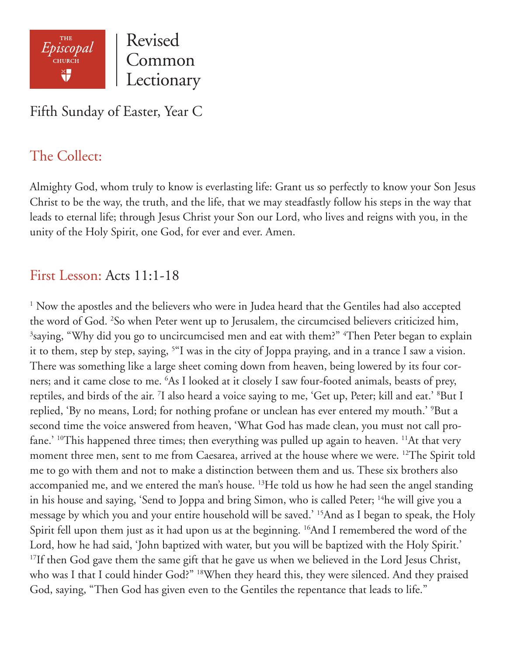

Revised Common Lectionary

Fifth Sunday of Easter, Year C

# The Collect:

Almighty God, whom truly to know is everlasting life: Grant us so perfectly to know your Son Jesus Christ to be the way, the truth, and the life, that we may steadfastly follow his steps in the way that leads to eternal life; through Jesus Christ your Son our Lord, who lives and reigns with you, in the unity of the Holy Spirit, one God, for ever and ever. Amen.

### First Lesson: Acts 11:1-18

<sup>1</sup> Now the apostles and the believers who were in Judea heard that the Gentiles had also accepted the word of God. <sup>2</sup>So when Peter went up to Jerusalem, the circumcised believers criticized him,  $3$ saying, "Why did you go to uncircumcised men and eat with them?"  $4$ Then Peter began to explain it to them, step by step, saying, 5 "I was in the city of Joppa praying, and in a trance I saw a vision. There was something like a large sheet coming down from heaven, being lowered by its four corners; and it came close to me. 6 As I looked at it closely I saw four-footed animals, beasts of prey, reptiles, and birds of the air. <sup>7</sup>I also heard a voice saying to me, 'Get up, Peter; kill and eat.' <sup>8</sup>But I replied, 'By no means, Lord; for nothing profane or unclean has ever entered my mouth.' 9 But a second time the voice answered from heaven, 'What God has made clean, you must not call profane.' <sup>10</sup>This happened three times; then everything was pulled up again to heaven. <sup>11</sup>At that very moment three men, sent to me from Caesarea, arrived at the house where we were. <sup>12</sup>The Spirit told me to go with them and not to make a distinction between them and us. These six brothers also accompanied me, and we entered the man's house. <sup>13</sup>He told us how he had seen the angel standing in his house and saying, 'Send to Joppa and bring Simon, who is called Peter; <sup>14</sup>he will give you a message by which you and your entire household will be saved.' 15And as I began to speak, the Holy Spirit fell upon them just as it had upon us at the beginning. <sup>16</sup>And I remembered the word of the Lord, how he had said, 'John baptized with water, but you will be baptized with the Holy Spirit.' <sup>17</sup>If then God gave them the same gift that he gave us when we believed in the Lord Jesus Christ, who was I that I could hinder God?" 18When they heard this, they were silenced. And they praised God, saying, "Then God has given even to the Gentiles the repentance that leads to life."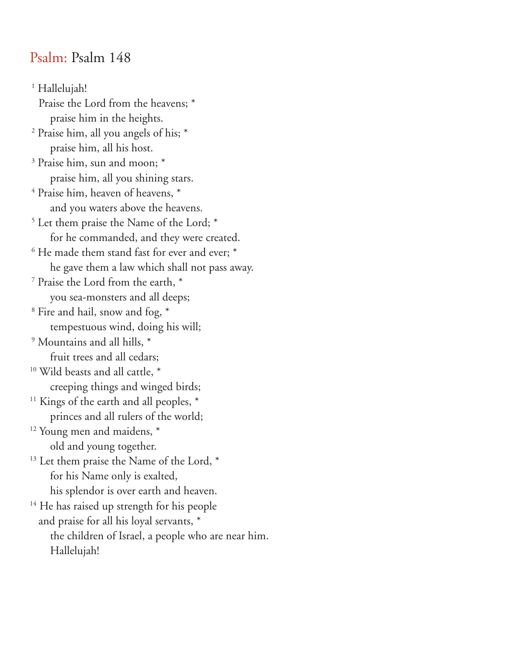### Psalm: Psalm 148

 1 Hallelujah! Praise the Lord from the heavens; \* praise him in the heights. 2 Praise him, all you angels of his; \* praise him, all his host. 3 Praise him, sun and moon; \* praise him, all you shining stars.  $4$  Praise him, heaven of heavens,  $*$  and you waters above the heavens. 5 Let them praise the Name of the Lord; \* for he commanded, and they were created.  $6$  He made them stand fast for ever and ever;  $*$  he gave them a law which shall not pass away. 7 Praise the Lord from the earth, \* you sea-monsters and all deeps; 8 Fire and hail, snow and fog, \* tempestuous wind, doing his will; 9 Mountains and all hills, \* fruit trees and all cedars; <sup>10</sup> Wild beasts and all cattle,  $*$  creeping things and winged birds; <sup>11</sup> Kings of the earth and all peoples,  $*$  princes and all rulers of the world; <sup>12</sup> Young men and maidens, \* old and young together. <sup>13</sup> Let them praise the Name of the Lord, \* for his Name only is exalted, his splendor is over earth and heaven. <sup>14</sup> He has raised up strength for his people and praise for all his loyal servants, \* the children of Israel, a people who are near him. Hallelujah!